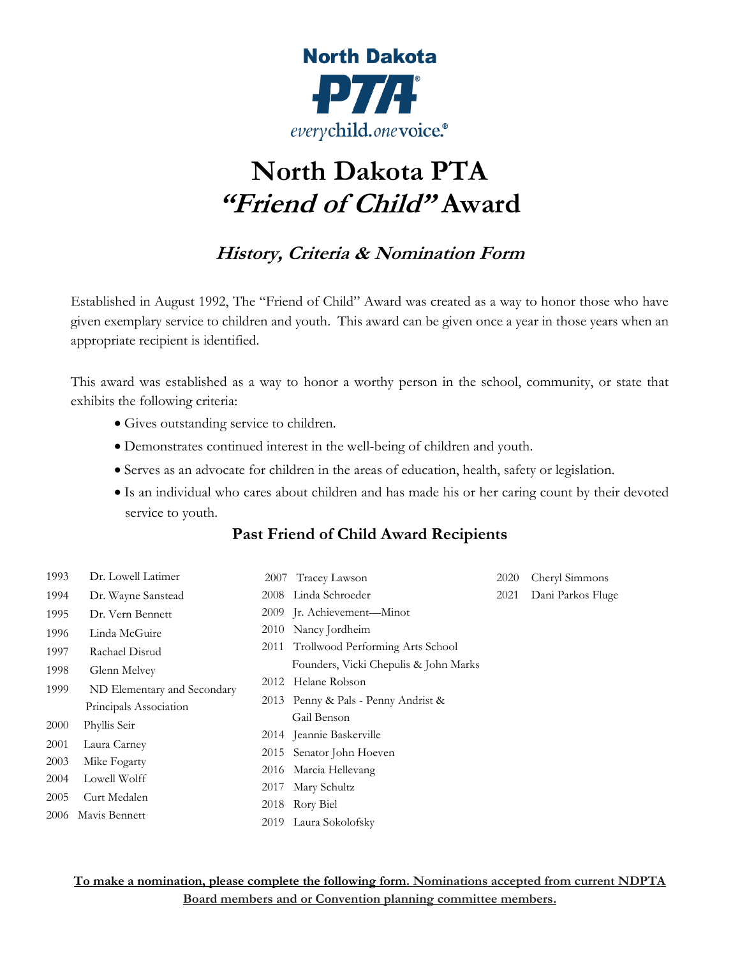

## **North Dakota PTA "Friend of Child" Award**

## **History, Criteria & Nomination Form**

Established in August 1992, The "Friend of Child" Award was created as a way to honor those who have given exemplary service to children and youth. This award can be given once a year in those years when an appropriate recipient is identified.

This award was established as a way to honor a worthy person in the school, community, or state that exhibits the following criteria:

- Gives outstanding service to children.
- Demonstrates continued interest in the well-being of children and youth.
- Serves as an advocate for children in the areas of education, health, safety or legislation.
- Is an individual who cares about children and has made his or her caring count by their devoted service to youth.

## **Past Friend of Child Award Recipients**

| 1993 | Dr. Lowell Latimer          | 2007 | Tracey Lawson                         | 2020 | Cheryl Simmons    |
|------|-----------------------------|------|---------------------------------------|------|-------------------|
| 1994 | Dr. Wayne Sanstead          |      | 2008 Linda Schroeder                  | 2021 | Dani Parkos Fluge |
| 1995 | Dr. Vern Bennett            |      | 2009 Jr. Achievement—Minot            |      |                   |
| 1996 | Linda McGuire               |      | 2010 Nancy Jordheim                   |      |                   |
| 1997 | Rachael Disrud              |      | 2011 Trollwood Performing Arts School |      |                   |
| 1998 | Glenn Melvey                |      | Founders, Vicki Chepulis & John Marks |      |                   |
| 1999 | ND Elementary and Secondary |      | 2012 Helane Robson                    |      |                   |
|      | Principals Association      |      | 2013 Penny & Pals - Penny Andrist &   |      |                   |
| 2000 | Phyllis Seir                |      | Gail Benson                           |      |                   |
|      |                             |      | 2014 Jeannie Baskerville              |      |                   |
| 2001 | Laura Carney                |      | 2015 Senator John Hoeven              |      |                   |
| 2003 | Mike Fogarty                |      | 2016 Marcia Hellevang                 |      |                   |
| 2004 | Lowell Wolff                |      | 2017 Mary Schultz                     |      |                   |
| 2005 | Curt Medalen                |      | 2018 Rory Biel                        |      |                   |
| 2006 | Mavis Bennett               |      | 2019 Laura Sokolofsky                 |      |                   |

**To make a nomination, please complete the following form. Nominations accepted from current NDPTA Board members and or Convention planning committee members.**